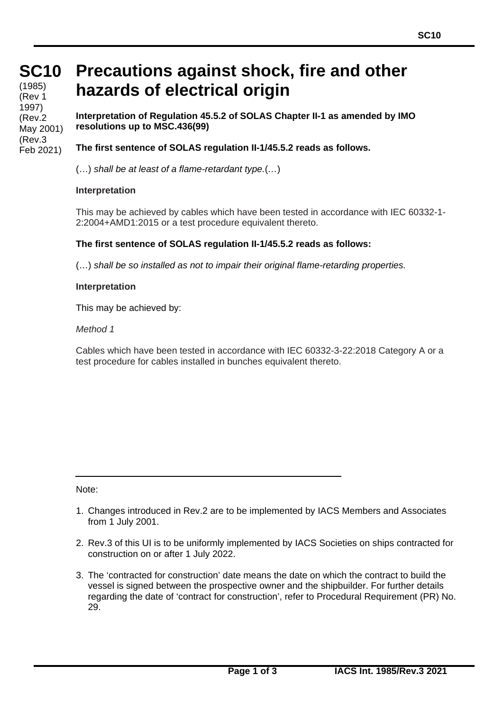**SC10** (1985) (Rev 1 1997) (Rev.2 May 2001) (Rev.3 Feb 2021)

## **Precautions against shock, fire and other hazards of electrical origin**

**Interpretation of Regulation 45.5.2 of SOLAS Chapter II-1 as amended by IMO resolutions up to MSC.436(99)**

**The first sentence of SOLAS regulation II-1/45.5.2 reads as follows.**

(…) *shall be at least of a flame-retardant type.*(*…*)

## **Interpretation**

This may be achieved by cables which have been tested in accordance with IEC 60332-1- 2:2004+AMD1:2015 or a test procedure equivalent thereto.

## **The first sentence of SOLAS regulation II-1/45.5.2 reads as follows:**

(…) *shall be so installed as not to impair their original flame-retarding properties.*

## **Interpretation**

This may be achieved by:

*Method 1*

Cables which have been tested in accordance with IEC 60332-3-22:2018 Category A or a test procedure for cables installed in bunches equivalent thereto.

Note:

- 1. Changes introduced in Rev.2 are to be implemented by IACS Members and Associates from 1 July 2001.
- 2. Rev.3 of this UI is to be uniformly implemented by IACS Societies on ships contracted for construction on or after 1 July 2022.
- 3. The 'contracted for construction' date means the date on which the contract to build the vessel is signed between the prospective owner and the shipbuilder. For further details regarding the date of 'contract for construction', refer to Procedural Requirement (PR) No. 29.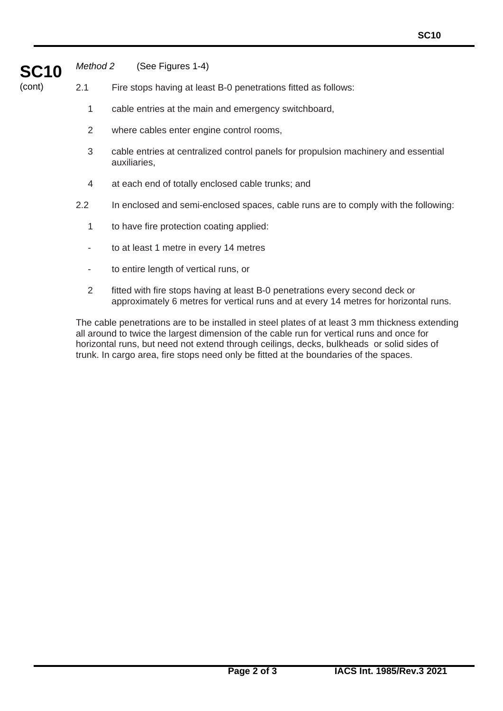

*Method 2* (See Figures 1-4)

(cont) 2.1 Fire stops having at least B-0 penetrations fitted as follows:

- 1 cable entries at the main and emergency switchboard,
- 2 where cables enter engine control rooms,
- 3 cable entries at centralized control panels for propulsion machinery and essential auxiliaries,
- 4 at each end of totally enclosed cable trunks; and
- 2.2 In enclosed and semi-enclosed spaces, cable runs are to comply with the following:
	- 1 to have fire protection coating applied:
	- to at least 1 metre in every 14 metres
	- to entire length of vertical runs, or
	- 2 fitted with fire stops having at least B-0 penetrations every second deck or approximately 6 metres for vertical runs and at every 14 metres for horizontal runs.

The cable penetrations are to be installed in steel plates of at least 3 mm thickness extending all around to twice the largest dimension of the cable run for vertical runs and once for horizontal runs, but need not extend through ceilings, decks, bulkheads or solid sides of trunk. In cargo area, fire stops need only be fitted at the boundaries of the spaces.